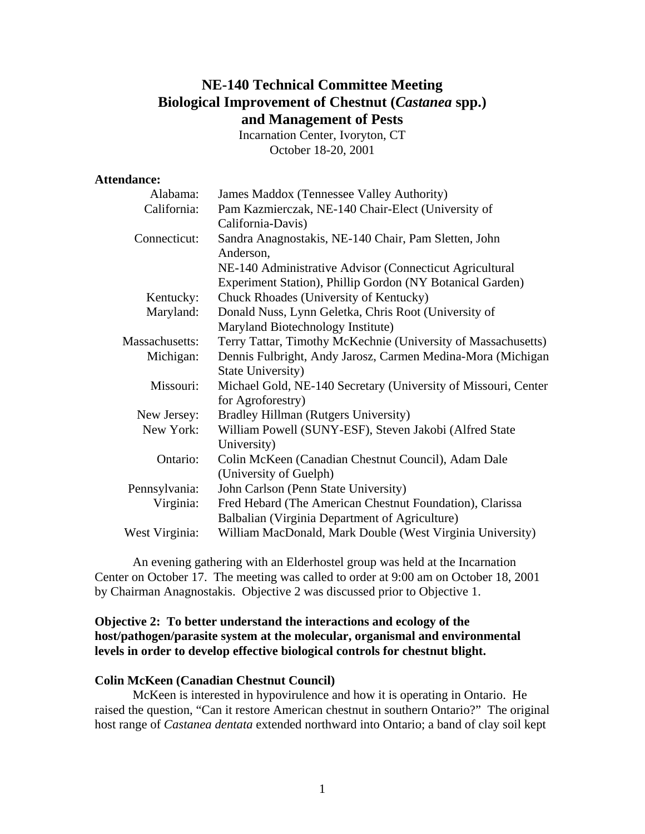# **NE-140 Technical Committee Meeting Biological Improvement of Chestnut (***Castanea* **spp.) and Management of Pests**

Incarnation Center, Ivoryton, CT October 18-20, 2001

#### **Attendance:**

| Alabama:       | James Maddox (Tennessee Valley Authority)                      |
|----------------|----------------------------------------------------------------|
| California:    | Pam Kazmierczak, NE-140 Chair-Elect (University of             |
|                | California-Davis)                                              |
| Connecticut:   | Sandra Anagnostakis, NE-140 Chair, Pam Sletten, John           |
|                | Anderson,                                                      |
|                | NE-140 Administrative Advisor (Connecticut Agricultural        |
|                | Experiment Station), Phillip Gordon (NY Botanical Garden)      |
| Kentucky:      | Chuck Rhoades (University of Kentucky)                         |
| Maryland:      | Donald Nuss, Lynn Geletka, Chris Root (University of           |
|                | Maryland Biotechnology Institute)                              |
| Massachusetts: | Terry Tattar, Timothy McKechnie (University of Massachusetts)  |
| Michigan:      | Dennis Fulbright, Andy Jarosz, Carmen Medina-Mora (Michigan    |
|                | <b>State University)</b>                                       |
| Missouri:      | Michael Gold, NE-140 Secretary (University of Missouri, Center |
|                | for Agroforestry)                                              |
| New Jersey:    | Bradley Hillman (Rutgers University)                           |
| New York:      | William Powell (SUNY-ESF), Steven Jakobi (Alfred State         |
|                | University)                                                    |
| Ontario:       | Colin McKeen (Canadian Chestnut Council), Adam Dale            |
|                | (University of Guelph)                                         |
| Pennsylvania:  | John Carlson (Penn State University)                           |
| Virginia:      | Fred Hebard (The American Chestnut Foundation), Clarissa       |
|                | Balbalian (Virginia Department of Agriculture)                 |
| West Virginia: | William MacDonald, Mark Double (West Virginia University)      |

 An evening gathering with an Elderhostel group was held at the Incarnation Center on October 17. The meeting was called to order at 9:00 am on October 18, 2001 by Chairman Anagnostakis. Objective 2 was discussed prior to Objective 1.

## **Objective 2: To better understand the interactions and ecology of the host/pathogen/parasite system at the molecular, organismal and environmental levels in order to develop effective biological controls for chestnut blight.**

#### **Colin McKeen (Canadian Chestnut Council)**

 McKeen is interested in hypovirulence and how it is operating in Ontario. He raised the question, "Can it restore American chestnut in southern Ontario?" The original host range of *Castanea dentata* extended northward into Ontario; a band of clay soil kept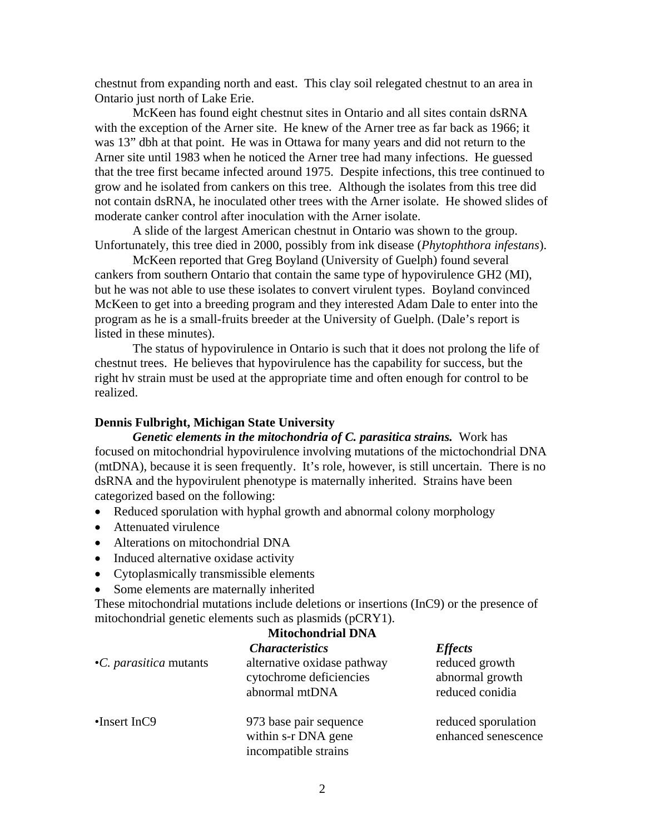chestnut from expanding north and east. This clay soil relegated chestnut to an area in Ontario just north of Lake Erie.

 McKeen has found eight chestnut sites in Ontario and all sites contain dsRNA with the exception of the Arner site. He knew of the Arner tree as far back as 1966; it was 13" dbh at that point. He was in Ottawa for many years and did not return to the Arner site until 1983 when he noticed the Arner tree had many infections. He guessed that the tree first became infected around 1975. Despite infections, this tree continued to grow and he isolated from cankers on this tree. Although the isolates from this tree did not contain dsRNA, he inoculated other trees with the Arner isolate. He showed slides of moderate canker control after inoculation with the Arner isolate.

 A slide of the largest American chestnut in Ontario was shown to the group. Unfortunately, this tree died in 2000, possibly from ink disease (*Phytophthora infestans*).

 McKeen reported that Greg Boyland (University of Guelph) found several cankers from southern Ontario that contain the same type of hypovirulence GH2 (MI), but he was not able to use these isolates to convert virulent types. Boyland convinced McKeen to get into a breeding program and they interested Adam Dale to enter into the program as he is a small-fruits breeder at the University of Guelph. (Dale's report is listed in these minutes).

 The status of hypovirulence in Ontario is such that it does not prolong the life of chestnut trees. He believes that hypovirulence has the capability for success, but the right hv strain must be used at the appropriate time and often enough for control to be realized.

#### **Dennis Fulbright, Michigan State University**

 *Genetic elements in the mitochondria of C. parasitica strains.* Work has focused on mitochondrial hypovirulence involving mutations of the mictochondrial DNA (mtDNA), because it is seen frequently. It's role, however, is still uncertain. There is no dsRNA and the hypovirulent phenotype is maternally inherited. Strains have been categorized based on the following:

- Reduced sporulation with hyphal growth and abnormal colony morphology
- Attenuated virulence
- Alterations on mitochondrial DNA
- Induced alternative oxidase activity
- Cytoplasmically transmissible elements
- Some elements are maternally inherited

These mitochondrial mutations include deletions or insertions (InC9) or the presence of mitochondrial genetic elements such as plasmids (pCRY1).

| •C. parasitica mutants | <b>Characteristics</b><br>alternative oxidase pathway<br>cytochrome deficiencies<br>abnormal mtDNA | <b>Effects</b><br>reduced growth<br>abnormal growth<br>reduced conidia |
|------------------------|----------------------------------------------------------------------------------------------------|------------------------------------------------------------------------|
| $\cdot$ Insert InC9    | 973 base pair sequence<br>within s-r DNA gene<br>incompatible strains                              | reduced sporulation<br>enhanced senescence                             |

#### **Mitochondrial DNA**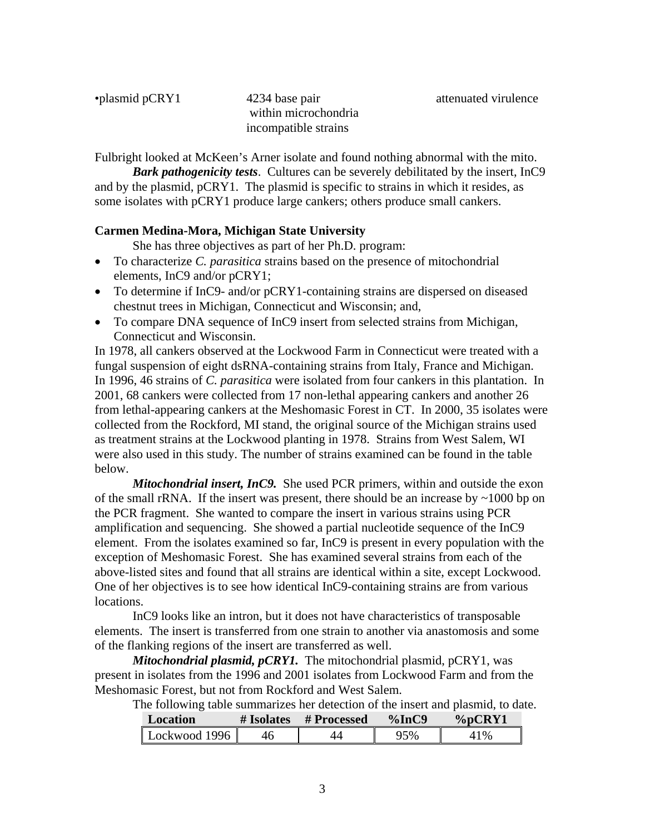| •plasmid pCRY1 |  |
|----------------|--|
|----------------|--|

4234 base pair attenuated virulence within microchondria incompatible strains

Fulbright looked at McKeen's Arner isolate and found nothing abnormal with the mito.

*Bark pathogenicity tests*. Cultures can be severely debilitated by the insert, InC9 and by the plasmid, pCRY1. The plasmid is specific to strains in which it resides, as some isolates with pCRY1 produce large cankers; others produce small cankers.

#### **Carmen Medina-Mora, Michigan State University**

She has three objectives as part of her Ph.D. program:

- To characterize *C. parasitica* strains based on the presence of mitochondrial elements, InC9 and/or pCRY1;
- To determine if InC9- and/or pCRY1-containing strains are dispersed on diseased chestnut trees in Michigan, Connecticut and Wisconsin; and,
- To compare DNA sequence of InC9 insert from selected strains from Michigan, Connecticut and Wisconsin.

In 1978, all cankers observed at the Lockwood Farm in Connecticut were treated with a fungal suspension of eight dsRNA-containing strains from Italy, France and Michigan. In 1996, 46 strains of *C. parasitica* were isolated from four cankers in this plantation. In 2001, 68 cankers were collected from 17 non-lethal appearing cankers and another 26 from lethal-appearing cankers at the Meshomasic Forest in CT. In 2000, 35 isolates were collected from the Rockford, MI stand, the original source of the Michigan strains used as treatment strains at the Lockwood planting in 1978. Strains from West Salem, WI were also used in this study. The number of strains examined can be found in the table below.

*Mitochondrial insert, InC9.* She used PCR primers, within and outside the exon of the small rRNA. If the insert was present, there should be an increase by  $\sim$ 1000 bp on the PCR fragment. She wanted to compare the insert in various strains using PCR amplification and sequencing. She showed a partial nucleotide sequence of the InC9 element. From the isolates examined so far, InC9 is present in every population with the exception of Meshomasic Forest. She has examined several strains from each of the above-listed sites and found that all strains are identical within a site, except Lockwood. One of her objectives is to see how identical InC9-containing strains are from various locations.

 InC9 looks like an intron, but it does not have characteristics of transposable elements. The insert is transferred from one strain to another via anastomosis and some of the flanking regions of the insert are transferred as well.

*Mitochondrial plasmid, pCRY1.* The mitochondrial plasmid, pCRY1, was present in isolates from the 1996 and 2001 isolates from Lockwood Farm and from the Meshomasic Forest, but not from Rockford and West Salem.

The following table summarizes her detection of the insert and plasmid, to date.

| Location      | # Isolates | # Processed | $\%$ InC9 | %pCRY1 |
|---------------|------------|-------------|-----------|--------|
| Lockwood 1996 |            |             | 25%       | $1\%$  |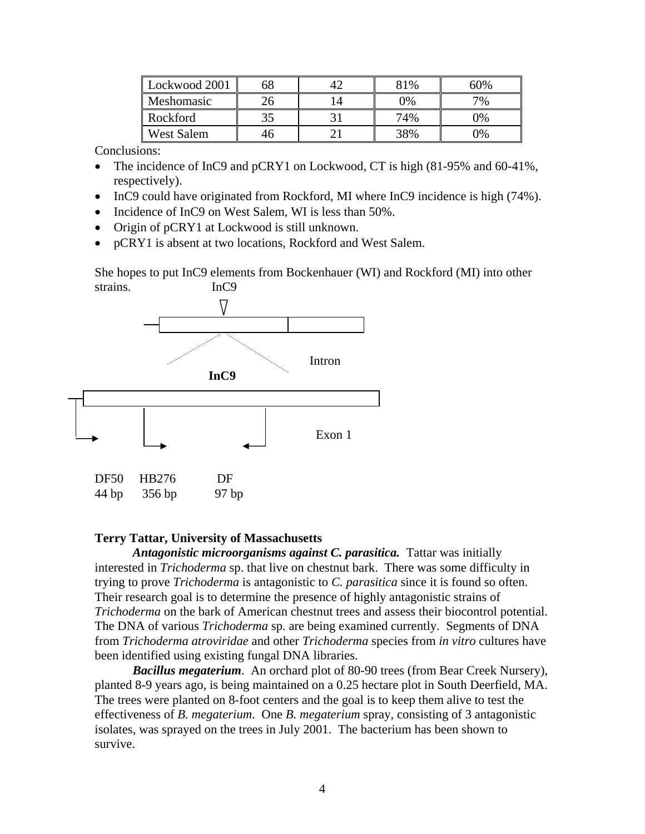| Lockwood 2001     |  | 81% | 60% |
|-------------------|--|-----|-----|
| Meshomasic        |  | 0%  | 7%  |
| Rockford          |  | 74% | 9%  |
| <b>West Salem</b> |  | 38% | 9%  |

Conclusions:

- The incidence of InC9 and pCRY1 on Lockwood, CT is high (81-95% and 60-41%, respectively).
- InC9 could have originated from Rockford, MI where InC9 incidence is high (74%).
- Incidence of InC9 on West Salem, WI is less than 50%.
- Origin of pCRY1 at Lockwood is still unknown.
- pCRY1 is absent at two locations, Rockford and West Salem.

She hopes to put InC9 elements from Bockenhauer (WI) and Rockford (MI) into other strains. InC9



#### **Terry Tattar, University of Massachusetts**

*Antagonistic microorganisms against C. parasitica.* Tattar was initially interested in *Trichoderma* sp. that live on chestnut bark. There was some difficulty in trying to prove *Trichoderma* is antagonistic to *C. parasitica* since it is found so often. Their research goal is to determine the presence of highly antagonistic strains of *Trichoderma* on the bark of American chestnut trees and assess their biocontrol potential. The DNA of various *Trichoderma* sp. are being examined currently. Segments of DNA from *Trichoderma atroviridae* and other *Trichoderma* species from *in vitro* cultures have been identified using existing fungal DNA libraries.

*Bacillus megaterium*. An orchard plot of 80-90 trees (from Bear Creek Nursery), planted 8-9 years ago, is being maintained on a 0.25 hectare plot in South Deerfield, MA. The trees were planted on 8-foot centers and the goal is to keep them alive to test the effectiveness of *B. megaterium*. One *B. megaterium* spray, consisting of 3 antagonistic isolates, was sprayed on the trees in July 2001. The bacterium has been shown to survive.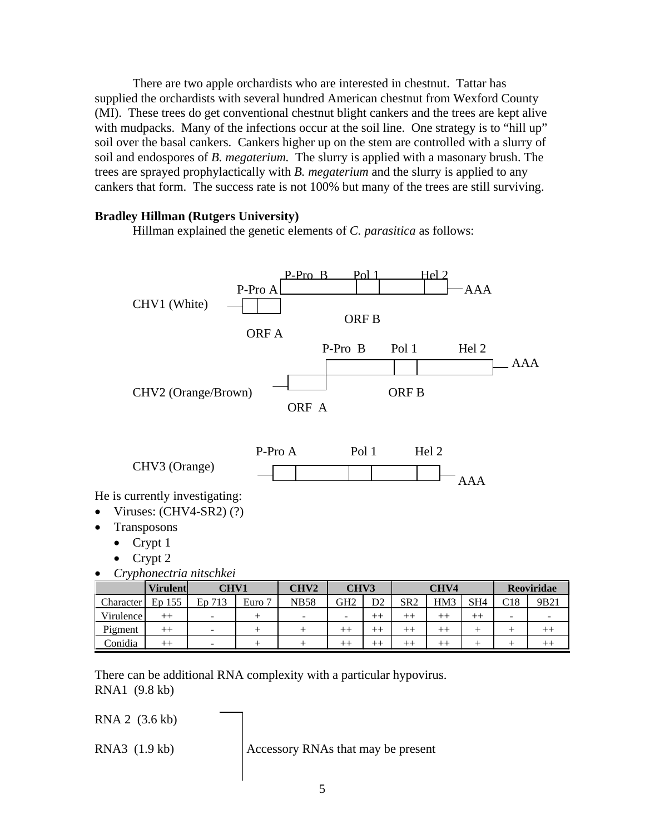There are two apple orchardists who are interested in chestnut. Tattar has supplied the orchardists with several hundred American chestnut from Wexford County (MI). These trees do get conventional chestnut blight cankers and the trees are kept alive with mudpacks. Many of the infections occur at the soil line. One strategy is to "hill up" soil over the basal cankers. Cankers higher up on the stem are controlled with a slurry of soil and endospores of *B. megaterium.* The slurry is applied with a masonary brush. The trees are sprayed prophylactically with *B. megaterium* and the slurry is applied to any cankers that form. The success rate is not 100% but many of the trees are still surviving.

#### **Bradley Hillman (Rutgers University)**

Hillman explained the genetic elements of *C. parasitica* as follows:



• *Cryphonectria nitschkei* 

|             | <b>Virulent</b> | <b>CHV1</b>              |        | CHV <sub>2</sub> | CHV3                     |         |                 | CHV4 |                 |     | Reoviridae |
|-------------|-----------------|--------------------------|--------|------------------|--------------------------|---------|-----------------|------|-----------------|-----|------------|
| Character   | Ep 155          | En<br>713                | Euro 7 | <b>NB58</b>      | GH2                      | D2      | SR <sub>2</sub> | HM3  | SH <sub>4</sub> | C18 | 9B21       |
| Virulence l | $^{++}$         | ۰                        |        | ۰                | $\overline{\phantom{a}}$ | $^{++}$ | $^{++}$         |      |                 | -   | -          |
| Pigment     | $^{++}$         | $\overline{\phantom{0}}$ |        |                  |                          | $++$    |                 |      |                 |     |            |
| Conidia     | $^{++}$         | $\overline{\phantom{a}}$ |        |                  |                          | $+ +$   |                 |      |                 |     |            |

There can be additional RNA complexity with a particular hypovirus. RNA1 (9.8 kb)

RNA 2 (3.6 kb)

RNA3 (1.9 kb)  $\operatorname{Accessory}$  RNAs that may be present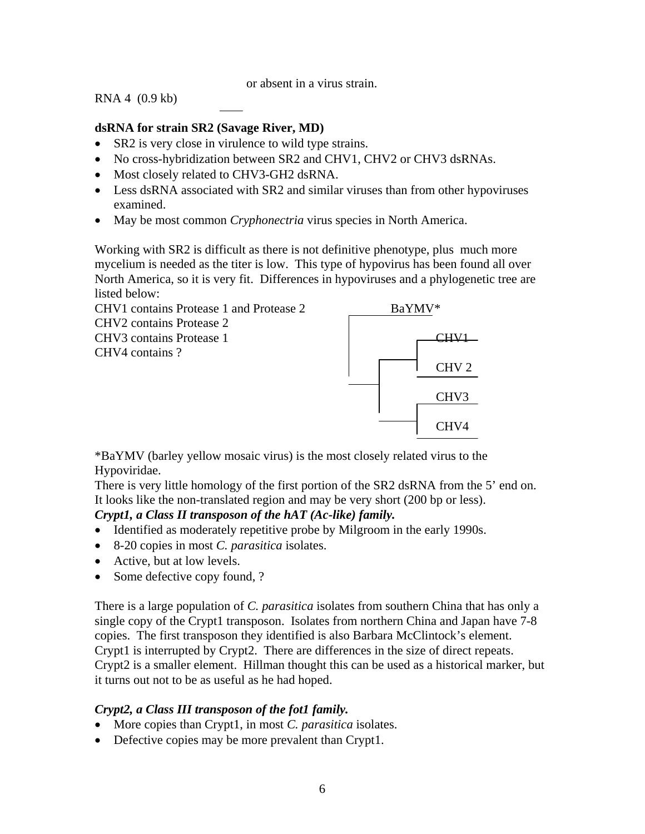or absent in a virus strain.

RNA 4 (0.9 kb)

## **dsRNA for strain SR2 (Savage River, MD)**

- SR2 is very close in virulence to wild type strains.
- No cross-hybridization between SR2 and CHV1, CHV2 or CHV3 dsRNAs.
- Most closely related to CHV3-GH2 dsRNA.
- Less dsRNA associated with SR2 and similar viruses than from other hypoviruses examined.
- May be most common *Cryphonectria* virus species in North America.

Working with SR2 is difficult as there is not definitive phenotype, plus much more mycelium is needed as the titer is low. This type of hypovirus has been found all over North America, so it is very fit. Differences in hypoviruses and a phylogenetic tree are listed below:



\*BaYMV (barley yellow mosaic virus) is the most closely related virus to the Hypoviridae.

There is very little homology of the first portion of the SR2 dsRNA from the 5' end on. It looks like the non-translated region and may be very short (200 bp or less).

## *Crypt1, a Class II transposon of the hAT (Ac-like) family.*

- Identified as moderately repetitive probe by Milgroom in the early 1990s.
- 8-20 copies in most *C. parasitica* isolates.
- Active, but at low levels.
- Some defective copy found, ?

There is a large population of *C. parasitica* isolates from southern China that has only a single copy of the Crypt1 transposon. Isolates from northern China and Japan have 7-8 copies. The first transposon they identified is also Barbara McClintock's element. Crypt1 is interrupted by Crypt2. There are differences in the size of direct repeats. Crypt2 is a smaller element. Hillman thought this can be used as a historical marker, but it turns out not to be as useful as he had hoped.

## *Crypt2, a Class III transposon of the fot1 family.*

- More copies than Crypt1, in most *C. parasitica* isolates.
- Defective copies may be more prevalent than Crypt1.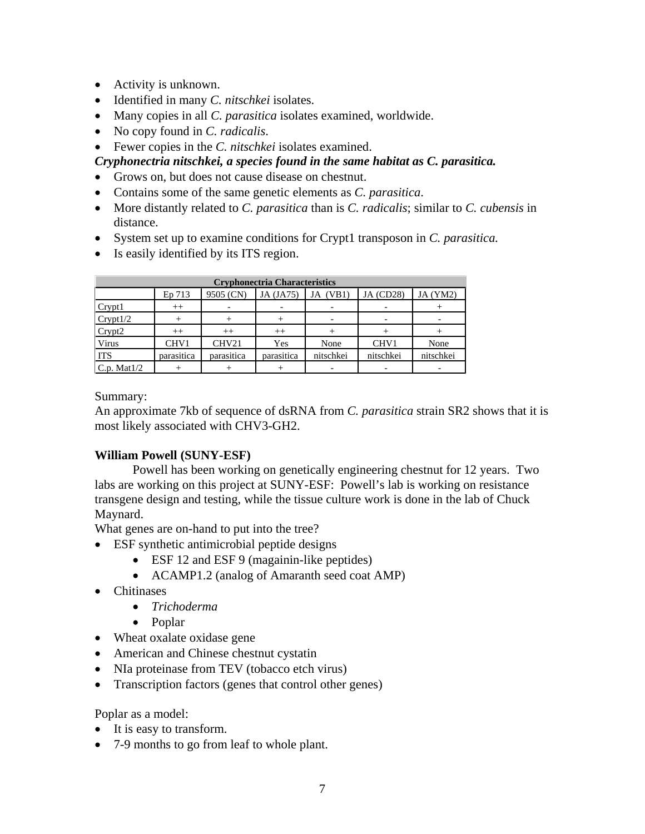- Activity is unknown.
- Identified in many *C. nitschkei* isolates.
- Many copies in all *C. parasitica* isolates examined, worldwide.
- No copy found in *C. radicalis*.
- Fewer copies in the *C. nitschkei* isolates examined.

## *Cryphonectria nitschkei, a species found in the same habitat as C. parasitica.*

- Grows on, but does not cause disease on chestnut.
- Contains some of the same genetic elements as *C. parasitica*.
- More distantly related to *C. parasitica* than is *C. radicalis*; similar to *C. cubensis* in distance.
- System set up to examine conditions for Crypt1 transposon in *C. parasitica.*
- Is easily identified by its ITS region.

| <b>Cryphonectria Characteristics</b> |            |            |            |             |                  |           |  |
|--------------------------------------|------------|------------|------------|-------------|------------------|-----------|--|
|                                      | Ep 713     | 9505 (CN)  | JA (JA75)  | (VB1)<br>JA | <b>JA</b> (CD28) | JA (YM2)  |  |
| Crypt1                               | $^{++}$    |            |            |             |                  |           |  |
| Crypt1/2                             |            |            |            |             |                  |           |  |
| Crypt2                               | $^{++}$    | $^{++}$    | $^{++}$    |             |                  |           |  |
| Virus                                | CHV1       | CHV21      | Yes        | None        | CHV1             | None      |  |
| <b>ITS</b>                           | parasitica | parasitica | parasitica | nitschkei   | nitschkei        | nitschkei |  |
| C.p. Mat $1/2$                       |            |            |            |             |                  |           |  |

Summary:

An approximate 7kb of sequence of dsRNA from *C. parasitica* strain SR2 shows that it is most likely associated with CHV3-GH2.

## **William Powell (SUNY-ESF)**

 Powell has been working on genetically engineering chestnut for 12 years. Two labs are working on this project at SUNY-ESF: Powell's lab is working on resistance transgene design and testing, while the tissue culture work is done in the lab of Chuck Maynard.

What genes are on-hand to put into the tree?

- ESF synthetic antimicrobial peptide designs
	- ESF 12 and ESF 9 (magainin-like peptides)
	- ACAMP1.2 (analog of Amaranth seed coat AMP)
- Chitinases
	- *Trichoderma*
	- Poplar
- Wheat oxalate oxidase gene
- American and Chinese chestnut cystatin
- NIa proteinase from TEV (tobacco etch virus)
- Transcription factors (genes that control other genes)

Poplar as a model:

- It is easy to transform.
- 7-9 months to go from leaf to whole plant.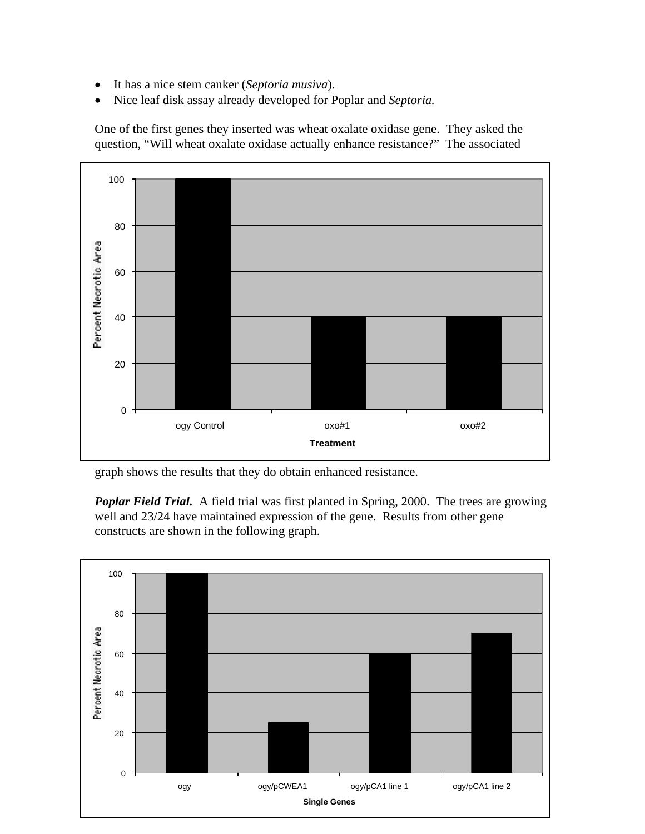- It has a nice stem canker (*Septoria musiva*).
- Nice leaf disk assay already developed for Poplar and *Septoria.*

One of the first genes they inserted was wheat oxalate oxidase gene. They asked the question, "Will wheat oxalate oxidase actually enhance resistance?" The associated



graph shows the results that they do obtain enhanced resistance.

**Poplar Field Trial.** A field trial was first planted in Spring, 2000. The trees are growing well and 23/24 have maintained expression of the gene. Results from other gene constructs are shown in the following graph.

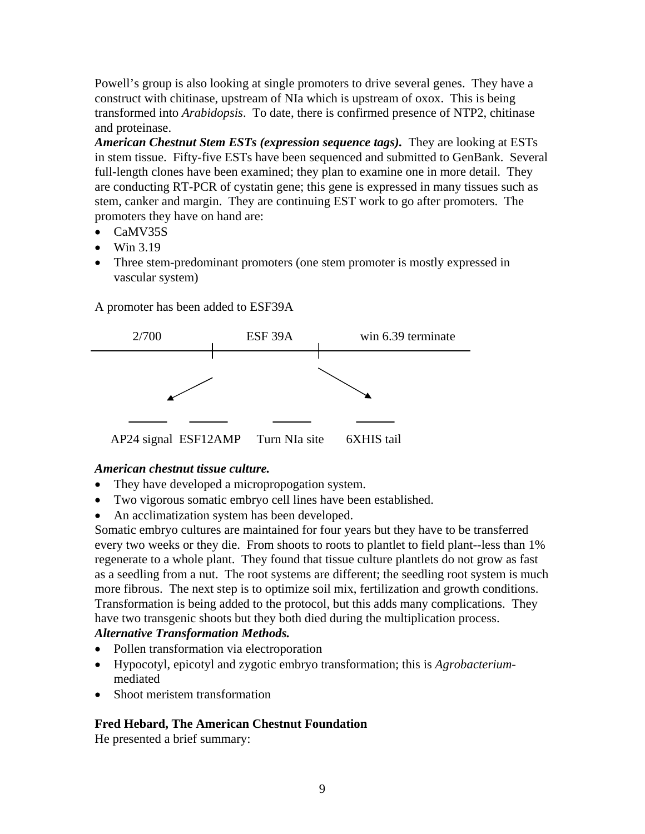Powell's group is also looking at single promoters to drive several genes. They have a construct with chitinase, upstream of NIa which is upstream of oxox. This is being transformed into *Arabidopsis*. To date, there is confirmed presence of NTP2, chitinase and proteinase.

*American Chestnut Stem ESTs (expression sequence tags).* They are looking at ESTs in stem tissue. Fifty-five ESTs have been sequenced and submitted to GenBank. Several full-length clones have been examined; they plan to examine one in more detail. They are conducting RT-PCR of cystatin gene; this gene is expressed in many tissues such as stem, canker and margin. They are continuing EST work to go after promoters. The promoters they have on hand are:

- CaMV35S
- $\bullet$  Win 3.19
- Three stem-predominant promoters (one stem promoter is mostly expressed in vascular system)

A promoter has been added to ESF39A



## *American chestnut tissue culture.*

- They have developed a micropropogation system.
- Two vigorous somatic embryo cell lines have been established.
- An acclimatization system has been developed.

Somatic embryo cultures are maintained for four years but they have to be transferred every two weeks or they die. From shoots to roots to plantlet to field plant-less than 1% regenerate to a whole plant. They found that tissue culture plantlets do not grow as fast as a seedling from a nut. The root systems are different; the seedling root system is much more fibrous. The next step is to optimize soil mix, fertilization and growth conditions. Transformation is being added to the protocol, but this adds many complications. They have two transgenic shoots but they both died during the multiplication process.

## *Alternative Transformation Methods.*

- Pollen transformation via electroporation
- Hypocotyl, epicotyl and zygotic embryo transformation; this is *Agrobacterium*mediated
- Shoot meristem transformation

## **Fred Hebard, The American Chestnut Foundation**

He presented a brief summary: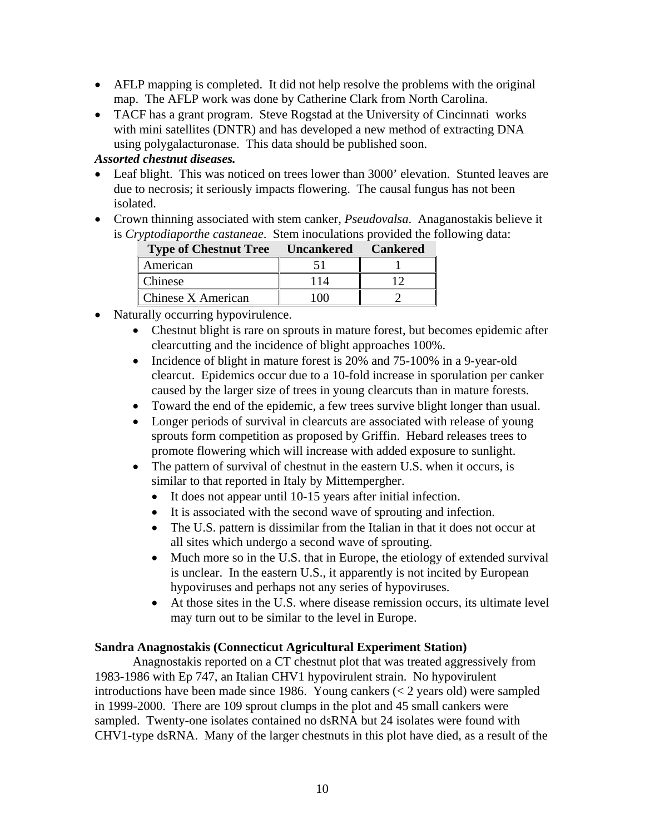- AFLP mapping is completed. It did not help resolve the problems with the original map. The AFLP work was done by Catherine Clark from North Carolina.
- TACF has a grant program. Steve Rogstad at the University of Cincinnati works with mini satellites (DNTR) and has developed a new method of extracting DNA using polygalacturonase. This data should be published soon.

## *Assorted chestnut diseases.*

- Leaf blight. This was noticed on trees lower than 3000' elevation. Stunted leaves are due to necrosis; it seriously impacts flowering. The causal fungus has not been isolated.
- Crown thinning associated with stem canker, *Pseudovalsa*. Anaganostakis believe it is *Cryptodiaporthe castaneae*. Stem inoculations provided the following data:

| <b>Type of Chestnut Tree</b> Uncankered Cankered |     |  |
|--------------------------------------------------|-----|--|
| American                                         |     |  |
| Chinese                                          | 114 |  |
| <b>Chinese X American</b>                        |     |  |

- Naturally occurring hypovirulence.
	- Chestnut blight is rare on sprouts in mature forest, but becomes epidemic after clearcutting and the incidence of blight approaches 100%.
	- Incidence of blight in mature forest is 20% and 75-100% in a 9-year-old clearcut. Epidemics occur due to a 10-fold increase in sporulation per canker caused by the larger size of trees in young clearcuts than in mature forests.
	- Toward the end of the epidemic, a few trees survive blight longer than usual.
	- Longer periods of survival in clearcuts are associated with release of young sprouts form competition as proposed by Griffin. Hebard releases trees to promote flowering which will increase with added exposure to sunlight.
	- The pattern of survival of chestnut in the eastern U.S. when it occurs, is similar to that reported in Italy by Mittempergher.
		- It does not appear until 10-15 years after initial infection.
		- It is associated with the second wave of sprouting and infection.
		- The U.S. pattern is dissimilar from the Italian in that it does not occur at all sites which undergo a second wave of sprouting.
		- Much more so in the U.S. that in Europe, the etiology of extended survival is unclear. In the eastern U.S., it apparently is not incited by European hypoviruses and perhaps not any series of hypoviruses.
		- At those sites in the U.S. where disease remission occurs, its ultimate level may turn out to be similar to the level in Europe.

## **Sandra Anagnostakis (Connecticut Agricultural Experiment Station)**

 Anagnostakis reported on a CT chestnut plot that was treated aggressively from 1983-1986 with Ep 747, an Italian CHV1 hypovirulent strain. No hypovirulent introductions have been made since 1986. Young cankers  $(< 2$  years old) were sampled in 1999-2000. There are 109 sprout clumps in the plot and 45 small cankers were sampled. Twenty-one isolates contained no dsRNA but 24 isolates were found with CHV1-type dsRNA. Many of the larger chestnuts in this plot have died, as a result of the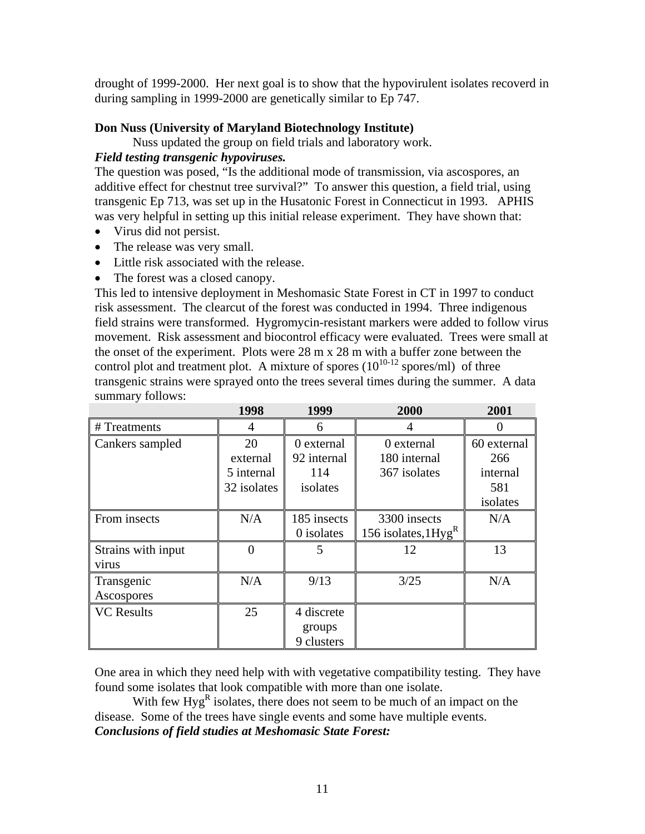drought of 1999-2000. Her next goal is to show that the hypovirulent isolates recoverd in during sampling in 1999-2000 are genetically similar to Ep 747.

## **Don Nuss (University of Maryland Biotechnology Institute)**

Nuss updated the group on field trials and laboratory work.

### *Field testing transgenic hypoviruses.*

The question was posed, "Is the additional mode of transmission, via ascospores, an additive effect for chestnut tree survival?" To answer this question, a field trial, using transgenic Ep 713, was set up in the Husatonic Forest in Connecticut in 1993. APHIS was very helpful in setting up this initial release experiment. They have shown that:

- Virus did not persist.
- The release was very small.
- Little risk associated with the release.
- The forest was a closed canopy.

This led to intensive deployment in Meshomasic State Forest in CT in 1997 to conduct risk assessment. The clearcut of the forest was conducted in 1994. Three indigenous field strains were transformed. Hygromycin-resistant markers were added to follow virus movement. Risk assessment and biocontrol efficacy were evaluated. Trees were small at the onset of the experiment. Plots were 28 m x 28 m with a buffer zone between the control plot and treatment plot. A mixture of spores  $(10^{10-12} \text{ spores/ml})$  of three transgenic strains were sprayed onto the trees several times during the summer. A data summary follows:

|                    | 1998        | 1999        | 2000                               | 2001        |
|--------------------|-------------|-------------|------------------------------------|-------------|
| # Treatments       | 4           | 6           | 4                                  |             |
| Cankers sampled    | 20          | 0 external  | 0 external                         | 60 external |
|                    | external    | 92 internal | 180 internal                       | 266         |
|                    | 5 internal  | 114         | 367 isolates                       | internal    |
|                    | 32 isolates | isolates    |                                    | 581         |
|                    |             |             |                                    | isolates    |
| From insects       | N/A         | 185 insects | 3300 insects                       | N/A         |
|                    |             | 0 isolates  | 156 isolates, $1$ Hyg <sup>R</sup> |             |
| Strains with input |             | 5           | 12                                 | 13          |
| virus              |             |             |                                    |             |
| Transgenic         | N/A         | 9/13        | 3/25                               | N/A         |
| Ascospores         |             |             |                                    |             |
| <b>VC</b> Results  | 25          | 4 discrete  |                                    |             |
|                    |             | groups      |                                    |             |
|                    |             | 9 clusters  |                                    |             |

One area in which they need help with with vegetative compatibility testing. They have found some isolates that look compatible with more than one isolate.

With few  $Hyg^R$  isolates, there does not seem to be much of an impact on the disease. Some of the trees have single events and some have multiple events. *Conclusions of field studies at Meshomasic State Forest:*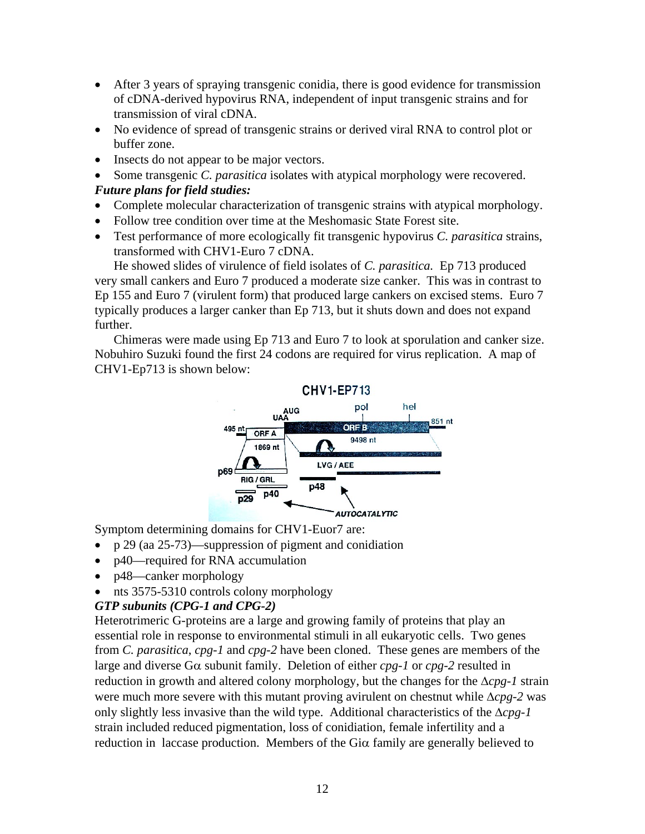- After 3 years of spraying transgenic conidia, there is good evidence for transmission of cDNA-derived hypovirus RNA, independent of input transgenic strains and for transmission of viral cDNA.
- No evidence of spread of transgenic strains or derived viral RNA to control plot or buffer zone.
- Insects do not appear to be major vectors.
- Some transgenic *C. parasitica* isolates with atypical morphology were recovered.

## *Future plans for field studies:*

- Complete molecular characterization of transgenic strains with atypical morphology.
- Follow tree condition over time at the Meshomasic State Forest site.
- Test performance of more ecologically fit transgenic hypovirus *C. parasitica* strains, transformed with CHV1-Euro 7 cDNA.

He showed slides of virulence of field isolates of *C. parasitica.* Ep 713 produced very small cankers and Euro 7 produced a moderate size canker. This was in contrast to Ep 155 and Euro 7 (virulent form) that produced large cankers on excised stems. Euro 7 typically produces a larger canker than Ep 713, but it shuts down and does not expand further.

Chimeras were made using Ep 713 and Euro 7 to look at sporulation and canker size. Nobuhiro Suzuki found the first 24 codons are required for virus replication. A map of CHV1-Ep713 is shown below:



Symptom determining domains for CHV1-Euor7 are:

- p 29 (aa 25-73)—suppression of pigment and conidiation
- p40—required for RNA accumulation
- p48—canker morphology
- nts 3575-5310 controls colony morphology

## *GTP subunits (CPG-1 and CPG-2)*

Heterotrimeric G-proteins are a large and growing family of proteins that play an essential role in response to environmental stimuli in all eukaryotic cells. Two genes from *C. parasitica*, *cpg-1* and *cpg-2* have been cloned. These genes are members of the large and diverse Gα subunit family. Deletion of either *cpg-1* or *cpg-2* resulted in reduction in growth and altered colony morphology, but the changes for the Δ*cpg-1* strain were much more severe with this mutant proving avirulent on chestnut while Δ*cpg-2* was only slightly less invasive than the wild type. Additional characteristics of the Δ*cpg-1*  strain included reduced pigmentation, loss of conidiation, female infertility and a reduction in laccase production. Members of the Giα family are generally believed to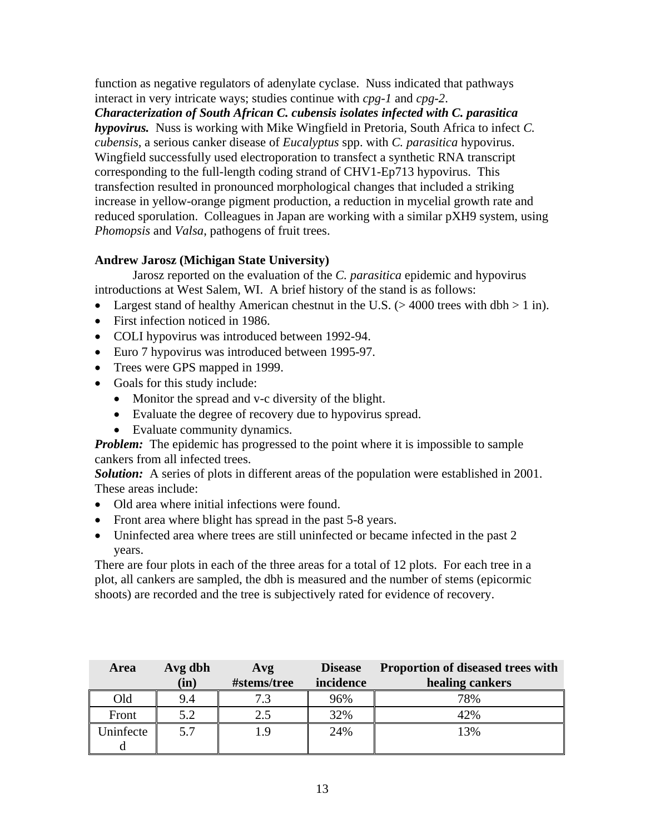function as negative regulators of adenylate cyclase. Nuss indicated that pathways interact in very intricate ways; studies continue with *cpg-1* and *cpg-2*.

*Characterization of South African C. cubensis isolates infected with C. parasitica hypovirus.* Nuss is working with Mike Wingfield in Pretoria, South Africa to infect *C. cubensis*, a serious canker disease of *Eucalyptus* spp. with *C. parasitica* hypovirus. Wingfield successfully used electroporation to transfect a synthetic RNA transcript corresponding to the full-length coding strand of CHV1-Ep713 hypovirus. This transfection resulted in pronounced morphological changes that included a striking increase in yellow-orange pigment production, a reduction in mycelial growth rate and reduced sporulation. Colleagues in Japan are working with a similar pXH9 system, using *Phomopsis* and *Valsa*, pathogens of fruit trees.

## **Andrew Jarosz (Michigan State University)**

 Jarosz reported on the evaluation of the *C. parasitica* epidemic and hypovirus introductions at West Salem, WI. A brief history of the stand is as follows:

- Largest stand of healthy American chestnut in the U.S.  $(> 4000$  trees with dbh  $> 1$  in).
- First infection noticed in 1986.
- COLI hypovirus was introduced between 1992-94.
- Euro 7 hypovirus was introduced between 1995-97.
- Trees were GPS mapped in 1999.
- Goals for this study include:
	- Monitor the spread and v-c diversity of the blight.
	- Evaluate the degree of recovery due to hypovirus spread.
	- Evaluate community dynamics.

*Problem:* The epidemic has progressed to the point where it is impossible to sample cankers from all infected trees.

**Solution:** A series of plots in different areas of the population were established in 2001. These areas include:

- Old area where initial infections were found.
- Front area where blight has spread in the past 5-8 years.
- Uninfected area where trees are still uninfected or became infected in the past 2 years.

There are four plots in each of the three areas for a total of 12 plots. For each tree in a plot, all cankers are sampled, the dbh is measured and the number of stems (epicormic shoots) are recorded and the tree is subjectively rated for evidence of recovery.

| Area      | Avg dbh | Avg         | <b>Disease</b> | <b>Proportion of diseased trees with</b> |
|-----------|---------|-------------|----------------|------------------------------------------|
|           | (in)    | #stems/tree | incidence      | healing cankers                          |
| Old       | 9.4     |             | 96%            | 78%                                      |
| Front     | 5.2     |             | 32%            | 42%                                      |
| Uninfecte | 5.7     |             | 24%            | 13%                                      |
|           |         |             |                |                                          |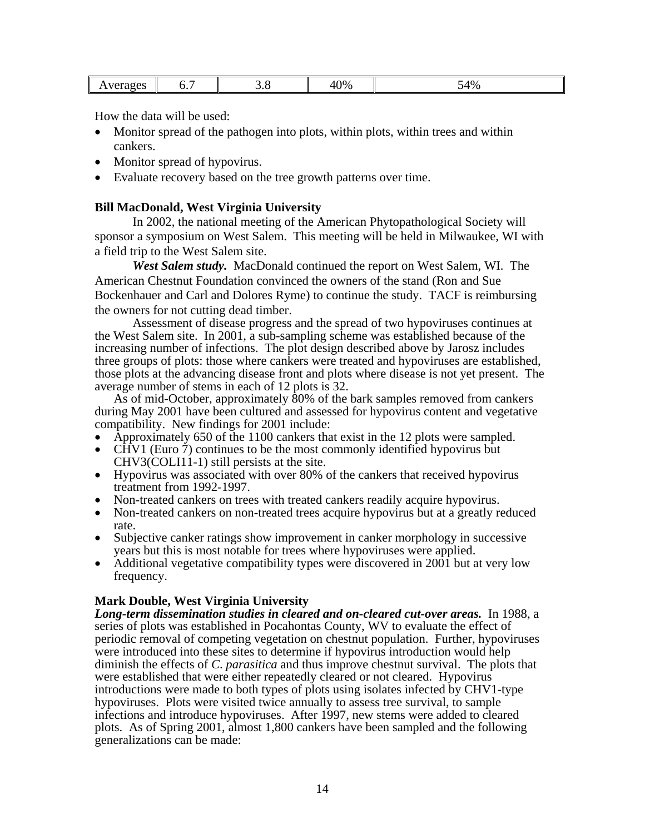| $\gamma$ %<br>54%<br>41<br>- -<br>. .<br><br><u> 7 U</u><br>$\cdot$ $\cdot$<br>J.v<br>v.<br>$\mathbf{v}$<br>. |  |  |  |  |  |  |
|---------------------------------------------------------------------------------------------------------------|--|--|--|--|--|--|
|---------------------------------------------------------------------------------------------------------------|--|--|--|--|--|--|

How the data will be used:

- Monitor spread of the pathogen into plots, within plots, within trees and within cankers.
- Monitor spread of hypovirus.
- Evaluate recovery based on the tree growth patterns over time.

#### **Bill MacDonald, West Virginia University**

 In 2002, the national meeting of the American Phytopathological Society will sponsor a symposium on West Salem. This meeting will be held in Milwaukee, WI with a field trip to the West Salem site.

*West Salem study.* MacDonald continued the report on West Salem, WI. The American Chestnut Foundation convinced the owners of the stand (Ron and Sue Bockenhauer and Carl and Dolores Ryme) to continue the study. TACF is reimbursing the owners for not cutting dead timber.

Assessment of disease progress and the spread of two hypoviruses continues at the West Salem site. In 2001, a sub-sampling scheme was established because of the increasing number of infections. The plot design described above by Jarosz includes three groups of plots: those where cankers were treated and hypoviruses are established, those plots at the advancing disease front and plots where disease is not yet present. The average number of stems in each of 12 plots is 32.

As of mid-October, approximately 80% of the bark samples removed from cankers during May 2001 have been cultured and assessed for hypovirus content and vegetative compatibility. New findings for 2001 include:

- Approximately 650 of the 1100 cankers that exist in the 12 plots were sampled.
- CHV1 (Euro  $\bar{7}$ ) continues to be the most commonly identified hypovirus but CHV3(COLI11-1) still persists at the site.
- Hypovirus was associated with over 80% of the cankers that received hypovirus treatment from 1992-1997.
- Non-treated cankers on trees with treated cankers readily acquire hypovirus.
- Non-treated cankers on non-treated trees acquire hypovirus but at a greatly reduced
- Subjective canker ratings show improvement in canker morphology in successive vears but this is most notable for trees where hypoviruses were applied.
- Additional vegetative compatibility types were discovered in 2001 but at very low frequency.

#### **Mark Double, West Virginia University**

*Long-term dissemination studies in cleared and on-cleared cut-over areas.* In 1988, a series of plots was established in Pocahontas County, WV to evaluate the effect of periodic removal of competing vegetation on chestnut population. Further, hypoviruses were introduced into these sites to determine if hypovirus introduction would help diminish the effects of *C*. *parasitica* and thus improve chestnut survival. The plots that were established that were either repeatedly cleared or not cleared. Hypovirus introductions were made to both types of plots using isolates infected by CHV1-type hypoviruses. Plots were visited twice annually to assess tree survival, to sample infections and introduce hypoviruses. After 1997, new stems were added to cleared plots. As of Spring 2001, almost 1,800 cankers have been sampled and the following generalizations can be made: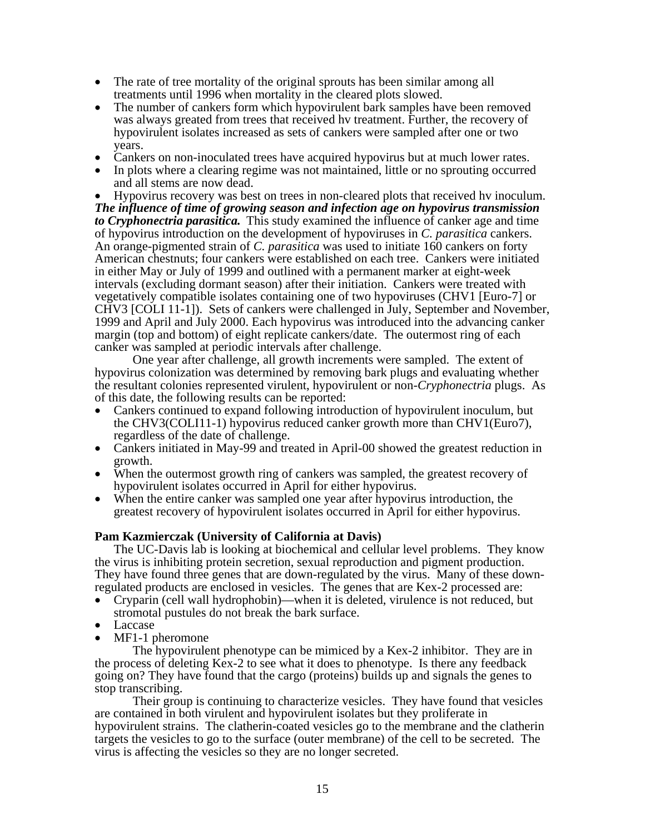- The rate of tree mortality of the original sprouts has been similar among all treatments until 1996 when mortality in the cleared plots slowed.
- The number of cankers form which hypovirulent bark samples have been removed was always greated from trees that received hv treatment. Further, the recovery of hypovirulent isolates increased as sets of cankers were sampled after one or two
- years. Cankers on non-inoculated trees have acquired hypovirus but at much lower rates. In plots where a clearing regime was not maintained, little or no sprouting occurred
- and all stems are now dead.<br>Hypovirus recovery was best on trees in non-cleared plots that received hv inoculum.

*The influence of time of growing season and infection age on hypovirus transmission to Cryphonectria parasitica.* This study examined the influence of canker age and time of hypovirus introduction on the development of hypoviruses in *C. parasitica* cankers. An orange-pigmented strain of *C. parasitica* was used to initiate 160 cankers on forty American chestnuts; four cankers were established on each tree. Cankers were initiated in either May or July of 1999 and outlined with a permanent marker at eight-week intervals (excluding dormant season) after their initiation. Cankers were treated with vegetatively compatible isolates containing one of two hypoviruses (CHV1 [Euro-7] or CHV3 [COLI 11-1]). Sets of cankers were challenged in July, September and November, 1999 and April and July 2000. Each hypovirus was introduced into the advancing canker margin (top and bottom) of eight replicate cankers/date. The outermost ring of each canker was sampled at periodic intervals after challenge.

One year after challenge, all growth increments were sampled. The extent of hypovirus colonization was determined by removing bark plugs and evaluating whether the resultant colonies represented virulent, hypovirulent or non-*Cryphonectria* plugs. As of this date, the following results can be reported:

- Cankers continued to expand following introduction of hypovirulent inoculum, but the CHV3(COLI11-1) hypovirus reduced canker growth more than CHV1(Euro7), regardless of the date of challenge.
- Cankers initiated in May-99 and treated in April-00 showed the greatest reduction in growth.
- When the outermost growth ring of cankers was sampled, the greatest recovery of hypovirulent isolates occurred in April for either hypovirus.
- When the entire canker was sampled one year after hypovirus introduction, the greatest recovery of hypovirulent isolates occurred in April for either hypovirus.

#### **Pam Kazmierczak (University of California at Davis)**

The UC-Davis lab is looking at biochemical and cellular level problems. They know the virus is inhibiting protein secretion, sexual reproduction and pigment production. They have found three genes that are down-regulated by the virus. Many of these downregulated products are enclosed in vesicles. The genes that are Kex-2 processed are:

- Cryparin (cell wall hydrophobin)—when it is deleted, virulence is not reduced, but stromotal pustules do not break the bark surface.
- Laccase
- MF1-1 pheromone

 The hypovirulent phenotype can be mimiced by a Kex-2 inhibitor. They are in the process of deleting Kex-2 to see what it does to phenotype. Is there any feedback going on? They have found that the cargo (proteins) builds up and signals the genes to stop transcribing.

 Their group is continuing to characterize vesicles. They have found that vesicles are contained in both virulent and hypovirulent isolates but they proliferate in hypovirulent strains. The clatherin-coated vesicles go to the membrane and the clatherin targets the vesicles to go to the surface (outer membrane) of the cell to be secreted. The virus is affecting the vesicles so they are no longer secreted.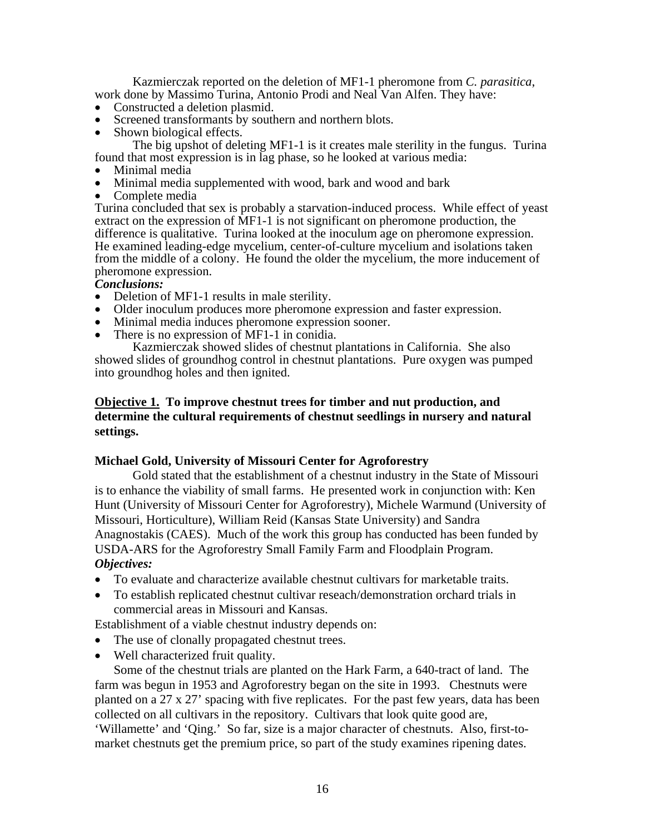Kazmierczak reported on the deletion of MF1-1 pheromone from *C. parasitica*, work done by Massimo Turina, Antonio Prodi and Neal Van Alfen. They have:

- Constructed a deletion plasmid.
- Screened transformants by southern and northern blots.<br>• Shown biological effects.
- 

 The big upshot of deleting MF1-1 is it creates male sterility in the fungus. Turina found that most expression is in lag phase, so he looked at various media:

- 
- Minimal media<br>• Minimal media supplemented with wood, bark and wood and bark<br>• Complete media
- 

Turina concluded that sex is probably a starvation-induced process. While effect of yeast extract on the expression of MF1-1 is not significant on pheromone production, the difference is qualitative. Turina looked at the inoculum age on pheromone expression. He examined leading-edge mycelium, center-of-culture mycelium and isolations taken from the middle of a colony. He found the older the mycelium, the more inducement of pheromone expression.

#### *Conclusions:*

- 
- Deletion of MF1-1 results in male sterility.<br>• Older inoculum produces more pheromone expression and faster expression.<br>• Minimal media induces pheromone expression sooner.<br>• There is no expression of MF1-1 in conidia.
- 
- 

Kazmierczak showed slides of chestnut plantations in California. She also showed slides of groundhog control in chestnut plantations. Pure oxygen was pumped into groundhog holes and then ignited.

## **Objective 1. To improve chestnut trees for timber and nut production, and determine the cultural requirements of chestnut seedlings in nursery and natural settings.**

#### **Michael Gold, University of Missouri Center for Agroforestry**

 Gold stated that the establishment of a chestnut industry in the State of Missouri is to enhance the viability of small farms. He presented work in conjunction with: Ken Hunt (University of Missouri Center for Agroforestry), Michele Warmund (University of Missouri, Horticulture), William Reid (Kansas State University) and Sandra Anagnostakis (CAES). Much of the work this group has conducted has been funded by USDA-ARS for the Agroforestry Small Family Farm and Floodplain Program. *Objectives:* 

- To evaluate and characterize available chestnut cultivars for marketable traits.
- To establish replicated chestnut cultivar reseach/demonstration orchard trials in commercial areas in Missouri and Kansas.

Establishment of a viable chestnut industry depends on:

- The use of clonally propagated chestnut trees.
- Well characterized fruit quality.

Some of the chestnut trials are planted on the Hark Farm, a 640-tract of land. The farm was begun in 1953 and Agroforestry began on the site in 1993. Chestnuts were planted on a 27 x 27' spacing with five replicates. For the past few years, data has been collected on all cultivars in the repository. Cultivars that look quite good are, 'Willamette' and 'Qing.' So far, size is a major character of chestnuts. Also, first-tomarket chestnuts get the premium price, so part of the study examines ripening dates.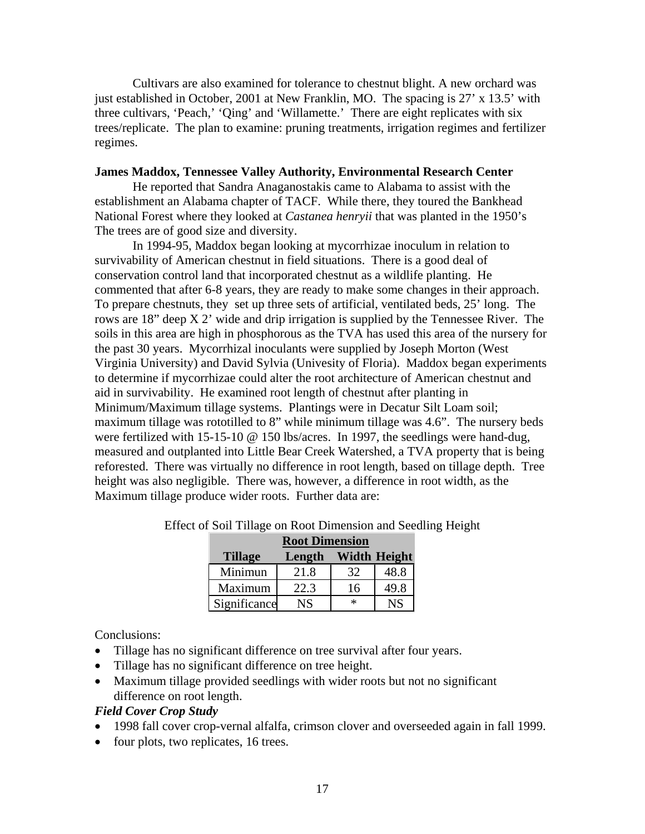Cultivars are also examined for tolerance to chestnut blight. A new orchard was just established in October, 2001 at New Franklin, MO. The spacing is 27' x 13.5' with three cultivars, 'Peach,' 'Qing' and 'Willamette.' There are eight replicates with six trees/replicate. The plan to examine: pruning treatments, irrigation regimes and fertilizer regimes.

#### **James Maddox, Tennessee Valley Authority, Environmental Research Center**

 He reported that Sandra Anaganostakis came to Alabama to assist with the establishment an Alabama chapter of TACF. While there, they toured the Bankhead National Forest where they looked at *Castanea henryii* that was planted in the 1950's The trees are of good size and diversity.

 In 1994-95, Maddox began looking at mycorrhizae inoculum in relation to survivability of American chestnut in field situations. There is a good deal of conservation control land that incorporated chestnut as a wildlife planting. He commented that after 6-8 years, they are ready to make some changes in their approach. To prepare chestnuts, they set up three sets of artificial, ventilated beds, 25' long. The rows are 18" deep X 2' wide and drip irrigation is supplied by the Tennessee River. The soils in this area are high in phosphorous as the TVA has used this area of the nursery for the past 30 years. Mycorrhizal inoculants were supplied by Joseph Morton (West Virginia University) and David Sylvia (Univesity of Floria). Maddox began experiments to determine if mycorrhizae could alter the root architecture of American chestnut and aid in survivability. He examined root length of chestnut after planting in Minimum/Maximum tillage systems. Plantings were in Decatur Silt Loam soil; maximum tillage was rototilled to 8" while minimum tillage was 4.6". The nursery beds were fertilized with 15-15-10 @ 150 lbs/acres. In 1997, the seedlings were hand-dug, measured and outplanted into Little Bear Creek Watershed, a TVA property that is being reforested. There was virtually no difference in root length, based on tillage depth. Tree height was also negligible. There was, however, a difference in root width, as the Maximum tillage produce wider roots. Further data are:

|                | <b>Root Dimension</b> |                     |           |  |  |  |
|----------------|-----------------------|---------------------|-----------|--|--|--|
| <b>Tillage</b> | Length                | <b>Width Height</b> |           |  |  |  |
| Minimun        | 21.8                  | 32                  | 48.8      |  |  |  |
| Maximum        | 22.3                  | 16                  | 49.8      |  |  |  |
| Significance   | NS                    | $\ast$              | <b>NS</b> |  |  |  |

Effect of Soil Tillage on Root Dimension and Seedling Height

Conclusions:

- Tillage has no significant difference on tree survival after four years.
- Tillage has no significant difference on tree height.
- Maximum tillage provided seedlings with wider roots but not no significant difference on root length.

#### *Field Cover Crop Study*

- 1998 fall cover crop-vernal alfalfa, crimson clover and overseeded again in fall 1999.
- four plots, two replicates, 16 trees.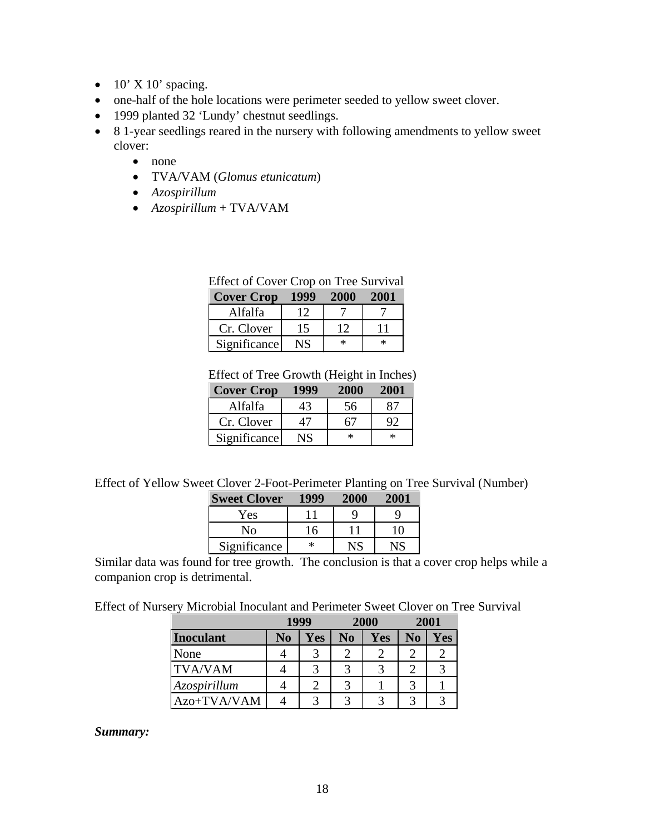- $10'$  X 10' spacing.
- one-half of the hole locations were perimeter seeded to yellow sweet clover.
- 1999 planted 32 'Lundy' chestnut seedlings.
- 8 1-year seedlings reared in the nursery with following amendments to yellow sweet clover:
	- none
	- TVA/VAM (*Glomus etunicatum*)
	- *Azospirillum*
	- *Azospirillum* + TVA/VAM

| Effect of Cover Crop on Tree Survival |             |             |             |  |  |  |
|---------------------------------------|-------------|-------------|-------------|--|--|--|
| <b>Cover Crop</b>                     | <b>1999</b> | <b>2000</b> | <b>2001</b> |  |  |  |
| Alfalfa                               | 12          |             |             |  |  |  |
| Cr. Clover                            | 15          | 12          | 11          |  |  |  |
| Significance                          | NS          | $\ast$      | $\ast$      |  |  |  |

Effect of Tree Growth (Height in Inches)

| <b>Cover Crop</b> | 1999 |    | -200 - |
|-------------------|------|----|--------|
| Alfalfa           | 43   | 56 |        |
| Cr. Clover        | 47   |    |        |
| Significance      |      | ∗  | ж      |

Effect of Yellow Sweet Clover 2-Foot-Perimeter Planting on Tree Survival (Number)

| <b>Sweet Clover</b> | 1999 | <b>2000</b> | 2001 |
|---------------------|------|-------------|------|
| Yes                 |      |             |      |
| Nο                  | 16   |             | 10   |
| Significance        | ∗    |             |      |

Similar data was found for tree growth. The conclusion is that a cover crop helps while a companion crop is detrimental.

Effect of Nursery Microbial Inoculant and Perimeter Sweet Clover on Tree Survival

|                  |    | 1999 | 2000 |            | 2001           |     |
|------------------|----|------|------|------------|----------------|-----|
| <b>Inoculant</b> | No | Yes  | No   | <b>Yes</b> | N <sub>0</sub> | Yes |
| None             |    |      |      |            |                |     |
| <b>TVA/VAM</b>   |    |      |      |            |                |     |
| Azospirillum     |    |      |      |            |                |     |
| Azo+TVA/VAM      |    |      | 2    |            |                |     |

*Summary:*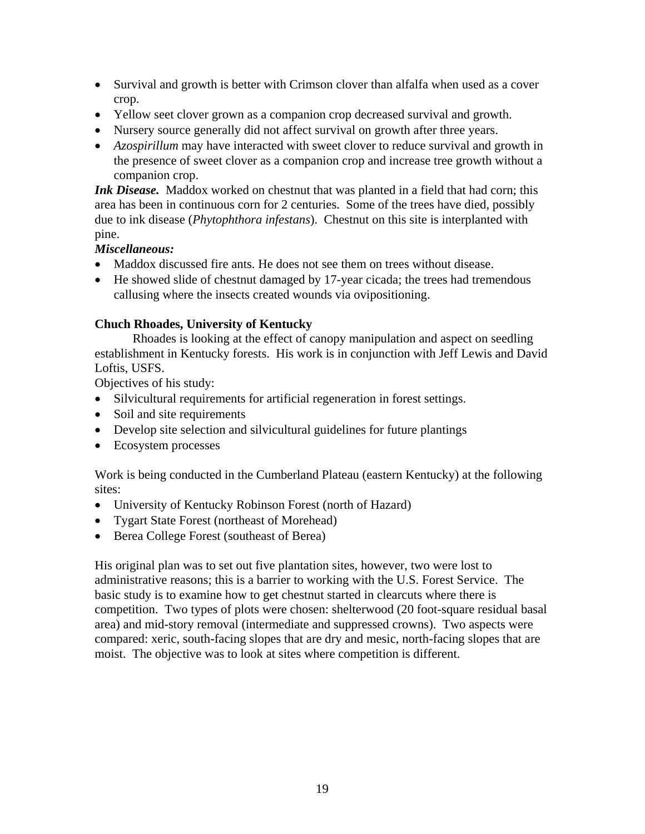- Survival and growth is better with Crimson clover than alfalfa when used as a cover crop.
- Yellow seet clover grown as a companion crop decreased survival and growth.
- Nursery source generally did not affect survival on growth after three years.
- *Azospirillum* may have interacted with sweet clover to reduce survival and growth in the presence of sweet clover as a companion crop and increase tree growth without a companion crop.

*Ink Disease.* Maddox worked on chestnut that was planted in a field that had corn; this area has been in continuous corn for 2 centuries. Some of the trees have died, possibly due to ink disease (*Phytophthora infestans*). Chestnut on this site is interplanted with pine.

## *Miscellaneous:*

- Maddox discussed fire ants. He does not see them on trees without disease.
- He showed slide of chestnut damaged by 17-year cicada; the trees had tremendous callusing where the insects created wounds via ovipositioning.

## **Chuch Rhoades, University of Kentucky**

 Rhoades is looking at the effect of canopy manipulation and aspect on seedling establishment in Kentucky forests. His work is in conjunction with Jeff Lewis and David Loftis, USFS.

Objectives of his study:

- Silvicultural requirements for artificial regeneration in forest settings.
- Soil and site requirements
- Develop site selection and silvicultural guidelines for future plantings
- Ecosystem processes

Work is being conducted in the Cumberland Plateau (eastern Kentucky) at the following sites:

- University of Kentucky Robinson Forest (north of Hazard)
- Tygart State Forest (northeast of Morehead)
- Berea College Forest (southeast of Berea)

His original plan was to set out five plantation sites, however, two were lost to administrative reasons; this is a barrier to working with the U.S. Forest Service. The basic study is to examine how to get chestnut started in clearcuts where there is competition. Two types of plots were chosen: shelterwood (20 foot-square residual basal area) and mid-story removal (intermediate and suppressed crowns). Two aspects were compared: xeric, south-facing slopes that are dry and mesic, north-facing slopes that are moist. The objective was to look at sites where competition is different.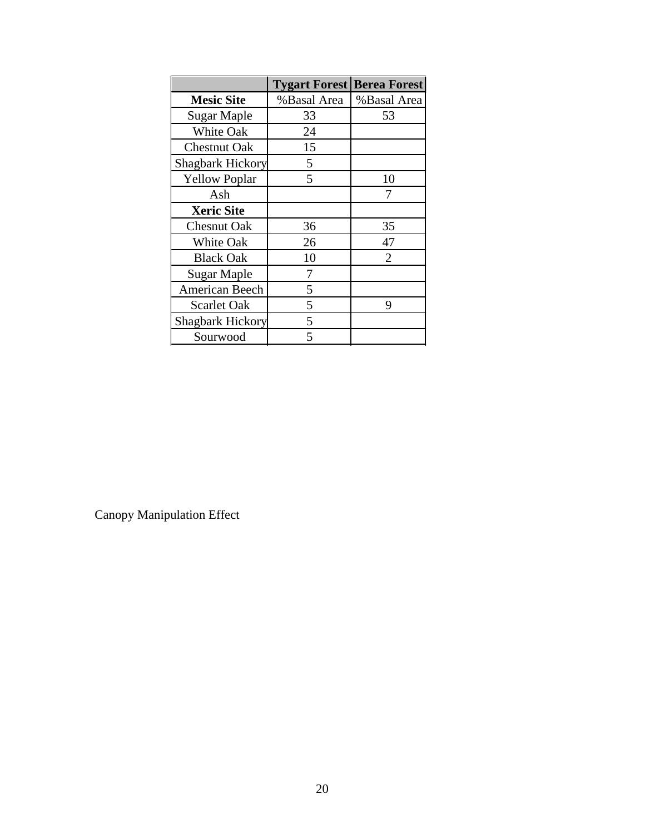|                         | <b>Tygart Forest Berea Forest</b> |                |
|-------------------------|-----------------------------------|----------------|
| <b>Mesic Site</b>       | %Basal Area                       | %Basal Area    |
| Sugar Maple             | 33                                | 53             |
| White Oak               | 24                                |                |
| <b>Chestnut Oak</b>     | 15                                |                |
| <b>Shagbark Hickory</b> | 5                                 |                |
| <b>Yellow Poplar</b>    | 5                                 | 10             |
| Ash                     |                                   | 7              |
| <b>Xeric Site</b>       |                                   |                |
| <b>Chesnut Oak</b>      | 36                                | 35             |
| White Oak               | 26                                | 47             |
| <b>Black Oak</b>        | 10                                | $\overline{2}$ |
| <b>Sugar Maple</b>      | 7                                 |                |
| American Beech          | 5                                 |                |
| <b>Scarlet Oak</b>      | 5                                 | 9              |
| <b>Shagbark Hickory</b> | 5                                 |                |
| Sourwood                | 5                                 |                |

Canopy Manipulation Effect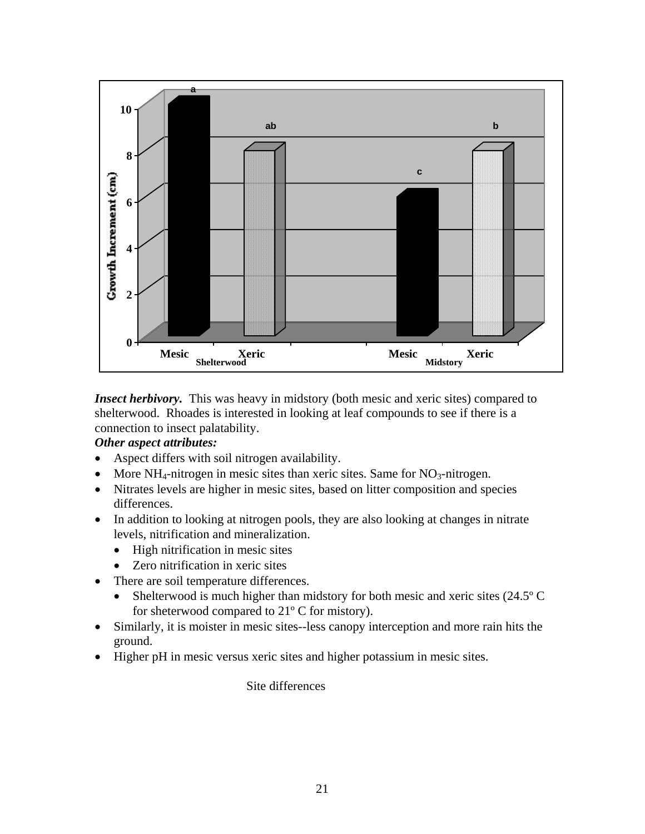

*Insect herbivory*. This was heavy in midstory (both mesic and xeric sites) compared to shelterwood. Rhoades is interested in looking at leaf compounds to see if there is a connection to insect palatability.

## *Other aspect attributes:*

- Aspect differs with soil nitrogen availability.
- More  $NH_4$ -nitrogen in mesic sites than xeric sites. Same for  $NO_3$ -nitrogen.
- Nitrates levels are higher in mesic sites, based on litter composition and species differences.
- In addition to looking at nitrogen pools, they are also looking at changes in nitrate levels, nitrification and mineralization.
	- High nitrification in mesic sites
	- Zero nitrification in xeric sites
- There are soil temperature differences.
	- Shelterwood is much higher than midstory for both mesic and xeric sites (24.5°C) for sheterwood compared to 21º C for mistory).
- Similarly, it is moister in mesic sites--less canopy interception and more rain hits the ground.
- Higher pH in mesic versus xeric sites and higher potassium in mesic sites.

Site differences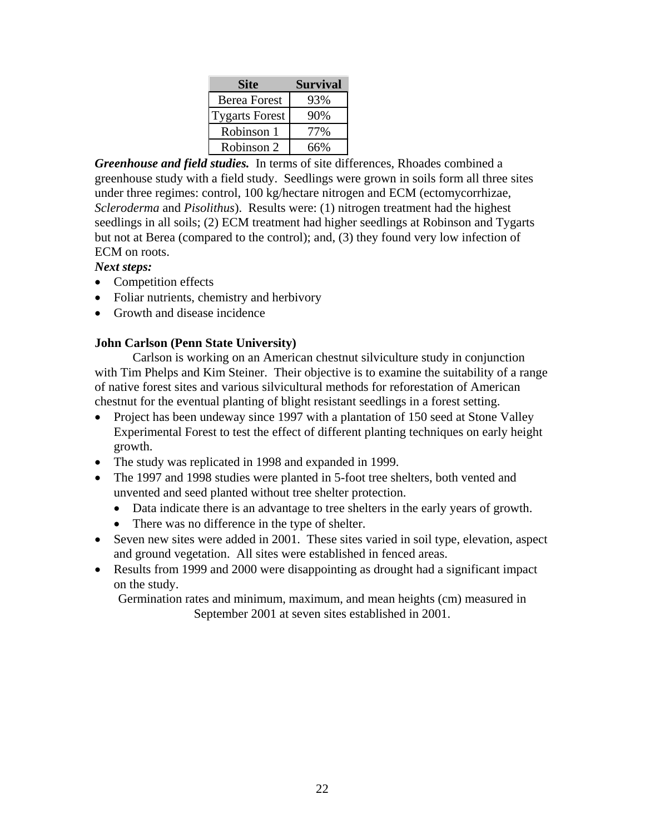| <b>Site</b>           | Survival |
|-----------------------|----------|
| <b>Berea Forest</b>   | 93%      |
| <b>Tygarts Forest</b> | 90%      |
| Robinson 1            | 77%      |
| Robinson 2            | 66%      |

*Greenhouse and field studies.* In terms of site differences, Rhoades combined a greenhouse study with a field study. Seedlings were grown in soils form all three sites under three regimes: control, 100 kg/hectare nitrogen and ECM (ectomycorrhizae, *Scleroderma* and *Pisolithus*). Results were: (1) nitrogen treatment had the highest seedlings in all soils; (2) ECM treatment had higher seedlings at Robinson and Tygarts but not at Berea (compared to the control); and, (3) they found very low infection of ECM on roots.

*Next steps:* 

- Competition effects
- Foliar nutrients, chemistry and herbivory
- Growth and disease incidence

## **John Carlson (Penn State University)**

 Carlson is working on an American chestnut silviculture study in conjunction with Tim Phelps and Kim Steiner. Their objective is to examine the suitability of a range of native forest sites and various silvicultural methods for reforestation of American chestnut for the eventual planting of blight resistant seedlings in a forest setting.

- Project has been undeway since 1997 with a plantation of 150 seed at Stone Valley Experimental Forest to test the effect of different planting techniques on early height growth.
- The study was replicated in 1998 and expanded in 1999.
- The 1997 and 1998 studies were planted in 5-foot tree shelters, both vented and unvented and seed planted without tree shelter protection.
	- Data indicate there is an advantage to tree shelters in the early years of growth.
	- There was no difference in the type of shelter.
- Seven new sites were added in 2001. These sites varied in soil type, elevation, aspect and ground vegetation. All sites were established in fenced areas.
- Results from 1999 and 2000 were disappointing as drought had a significant impact on the study.

Germination rates and minimum, maximum, and mean heights (cm) measured in September 2001 at seven sites established in 2001.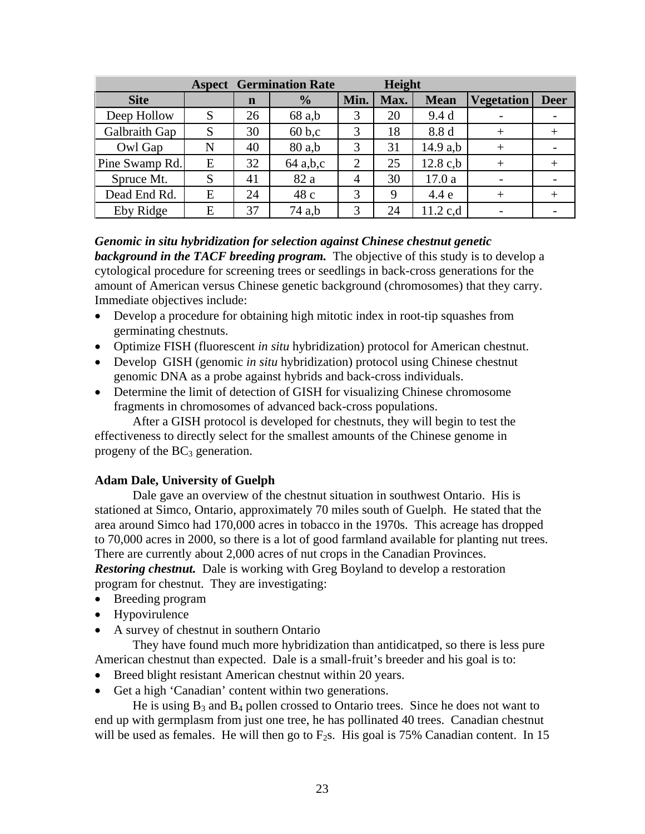|                |   | <b>Aspect Germination Rate</b> |               | Height         |      |             |                   |             |
|----------------|---|--------------------------------|---------------|----------------|------|-------------|-------------------|-------------|
| <b>Site</b>    |   | $\mathbf n$                    | $\frac{0}{0}$ | Min.           | Max. | <b>Mean</b> | <b>Vegetation</b> | <b>Deer</b> |
| Deep Hollow    | S | 26                             | 68 a,b        | 3              | 20   | 9.4d        |                   |             |
| Galbraith Gap  | S | 30                             | 60 b,c        | 3              | 18   | 8.8 d       |                   | $^+$        |
| Owl Gap        | N | 40                             | 80 a,b        | 3              | 31   | 14.9 a,b    | $^{+}$            |             |
| Pine Swamp Rd. | E | 32                             | 64 a,b,c      | $\overline{2}$ | 25   | $12.8$ c,b  |                   | $^{+}$      |
| Spruce Mt.     | S | 41                             | 82 a          | $\overline{4}$ | 30   | 17.0a       |                   |             |
| Dead End Rd.   | E | 24                             | 48 c          | 3              | 9    | 4.4 e       |                   | $^{+}$      |
| Eby Ridge      | E | 37                             | 74 a,b        | 3              | 24   | $11.2$ c,d  |                   |             |

*Genomic in situ hybridization for selection against Chinese chestnut genetic*  **background in the TACF breeding program.** The objective of this study is to develop a cytological procedure for screening trees or seedlings in back-cross generations for the amount of American versus Chinese genetic background (chromosomes) that they carry. Immediate objectives include:

- Develop a procedure for obtaining high mitotic index in root-tip squashes from germinating chestnuts.
- Optimize FISH (fluorescent *in situ* hybridization) protocol for American chestnut.
- Develop GISH (genomic *in situ* hybridization) protocol using Chinese chestnut genomic DNA as a probe against hybrids and back-cross individuals.
- Determine the limit of detection of GISH for visualizing Chinese chromosome fragments in chromosomes of advanced back-cross populations.

 After a GISH protocol is developed for chestnuts, they will begin to test the effectiveness to directly select for the smallest amounts of the Chinese genome in progeny of the  $BC_3$  generation.

## **Adam Dale, University of Guelph**

 Dale gave an overview of the chestnut situation in southwest Ontario. His is stationed at Simco, Ontario, approximately 70 miles south of Guelph. He stated that the area around Simco had 170,000 acres in tobacco in the 1970s. This acreage has dropped to 70,000 acres in 2000, so there is a lot of good farmland available for planting nut trees. There are currently about 2,000 acres of nut crops in the Canadian Provinces. *Restoring chestnut.* Dale is working with Greg Boyland to develop a restoration program for chestnut. They are investigating:

- Breeding program
- **Hypovirulence**
- A survey of chestnut in southern Ontario

 They have found much more hybridization than antidicatped, so there is less pure American chestnut than expected. Dale is a small-fruit's breeder and his goal is to:

- Breed blight resistant American chestnut within 20 years.
- Get a high 'Canadian' content within two generations.

He is using  $B_3$  and  $B_4$  pollen crossed to Ontario trees. Since he does not want to end up with germplasm from just one tree, he has pollinated 40 trees. Canadian chestnut will be used as females. He will then go to  $F_2$ s. His goal is 75% Canadian content. In 15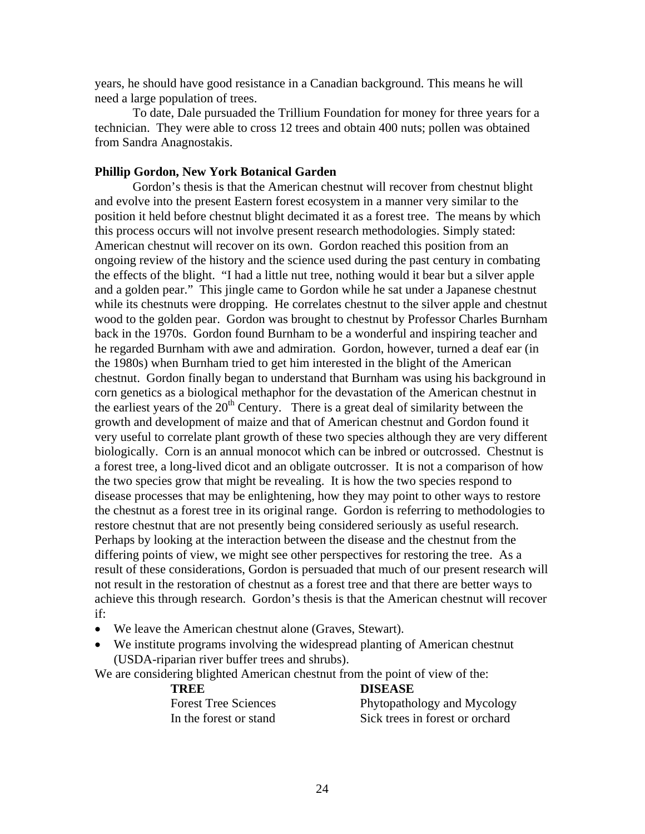years, he should have good resistance in a Canadian background. This means he will need a large population of trees.

 To date, Dale pursuaded the Trillium Foundation for money for three years for a technician. They were able to cross 12 trees and obtain 400 nuts; pollen was obtained from Sandra Anagnostakis.

#### **Phillip Gordon, New York Botanical Garden**

 Gordon's thesis is that the American chestnut will recover from chestnut blight and evolve into the present Eastern forest ecosystem in a manner very similar to the position it held before chestnut blight decimated it as a forest tree. The means by which this process occurs will not involve present research methodologies. Simply stated: American chestnut will recover on its own. Gordon reached this position from an ongoing review of the history and the science used during the past century in combating the effects of the blight. "I had a little nut tree, nothing would it bear but a silver apple and a golden pear." This jingle came to Gordon while he sat under a Japanese chestnut while its chestnuts were dropping. He correlates chestnut to the silver apple and chestnut wood to the golden pear. Gordon was brought to chestnut by Professor Charles Burnham back in the 1970s. Gordon found Burnham to be a wonderful and inspiring teacher and he regarded Burnham with awe and admiration. Gordon, however, turned a deaf ear (in the 1980s) when Burnham tried to get him interested in the blight of the American chestnut. Gordon finally began to understand that Burnham was using his background in corn genetics as a biological methaphor for the devastation of the American chestnut in the earliest years of the  $20<sup>th</sup>$  Century. There is a great deal of similarity between the growth and development of maize and that of American chestnut and Gordon found it very useful to correlate plant growth of these two species although they are very different biologically. Corn is an annual monocot which can be inbred or outcrossed. Chestnut is a forest tree, a long-lived dicot and an obligate outcrosser. It is not a comparison of how the two species grow that might be revealing. It is how the two species respond to disease processes that may be enlightening, how they may point to other ways to restore the chestnut as a forest tree in its original range. Gordon is referring to methodologies to restore chestnut that are not presently being considered seriously as useful research. Perhaps by looking at the interaction between the disease and the chestnut from the differing points of view, we might see other perspectives for restoring the tree. As a result of these considerations, Gordon is persuaded that much of our present research will not result in the restoration of chestnut as a forest tree and that there are better ways to achieve this through research. Gordon's thesis is that the American chestnut will recover if:

- We leave the American chestnut alone (Graves, Stewart).
- We institute programs involving the widespread planting of American chestnut (USDA-riparian river buffer trees and shrubs).

We are considering blighted American chestnut from the point of view of the:

#### **TREE DISEASE**

| <b>Forest Tree Sciences</b> | Phytopathology and Mycology     |
|-----------------------------|---------------------------------|
| In the forest or stand      | Sick trees in forest or orchard |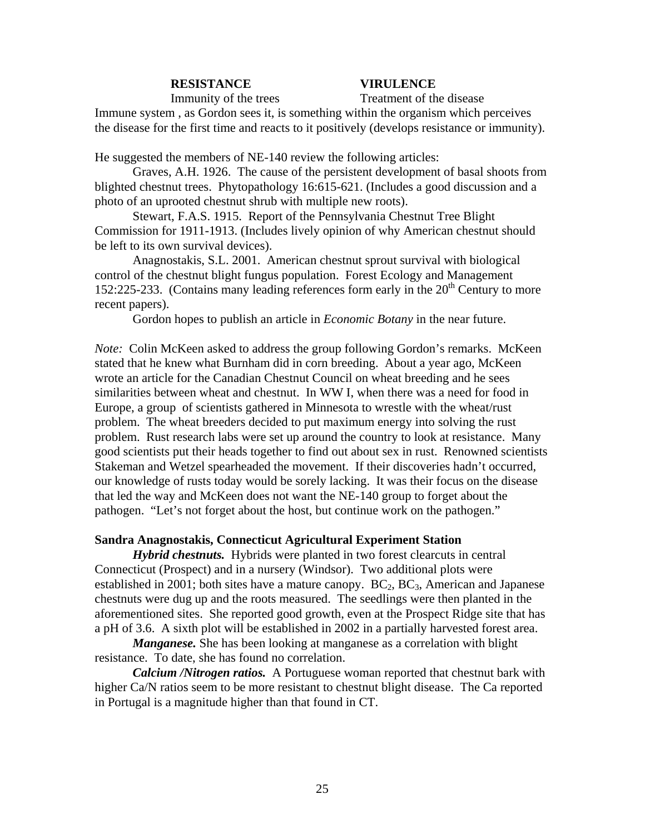#### **RESISTANCE VIRULENCE**

Immunity of the trees Treatment of the disease

Immune system , as Gordon sees it, is something within the organism which perceives the disease for the first time and reacts to it positively (develops resistance or immunity).

He suggested the members of NE-140 review the following articles:

Graves, A.H. 1926. The cause of the persistent development of basal shoots from blighted chestnut trees. Phytopathology 16:615-621. (Includes a good discussion and a photo of an uprooted chestnut shrub with multiple new roots).

Stewart, F.A.S. 1915. Report of the Pennsylvania Chestnut Tree Blight Commission for 1911-1913. (Includes lively opinion of why American chestnut should be left to its own survival devices).

Anagnostakis, S.L. 2001. American chestnut sprout survival with biological control of the chestnut blight fungus population. Forest Ecology and Management 152:225-233. (Contains many leading references form early in the  $20<sup>th</sup>$  Century to more recent papers).

Gordon hopes to publish an article in *Economic Botany* in the near future.

*Note:* Colin McKeen asked to address the group following Gordon's remarks. McKeen stated that he knew what Burnham did in corn breeding. About a year ago, McKeen wrote an article for the Canadian Chestnut Council on wheat breeding and he sees similarities between wheat and chestnut. In WW I, when there was a need for food in Europe, a group of scientists gathered in Minnesota to wrestle with the wheat/rust problem. The wheat breeders decided to put maximum energy into solving the rust problem. Rust research labs were set up around the country to look at resistance. Many good scientists put their heads together to find out about sex in rust. Renowned scientists Stakeman and Wetzel spearheaded the movement. If their discoveries hadn't occurred, our knowledge of rusts today would be sorely lacking. It was their focus on the disease that led the way and McKeen does not want the NE-140 group to forget about the pathogen. "Let's not forget about the host, but continue work on the pathogen."

#### **Sandra Anagnostakis, Connecticut Agricultural Experiment Station**

*Hybrid chestnuts.* Hybrids were planted in two forest clearcuts in central Connecticut (Prospect) and in a nursery (Windsor). Two additional plots were established in 2001; both sites have a mature canopy.  $BC_2, BC_3$ , American and Japanese chestnuts were dug up and the roots measured. The seedlings were then planted in the aforementioned sites. She reported good growth, even at the Prospect Ridge site that has a pH of 3.6. A sixth plot will be established in 2002 in a partially harvested forest area.

*Manganese.* She has been looking at manganese as a correlation with blight resistance. To date, she has found no correlation.

*Calcium /Nitrogen ratios.* A Portuguese woman reported that chestnut bark with higher Ca/N ratios seem to be more resistant to chestnut blight disease. The Ca reported in Portugal is a magnitude higher than that found in CT.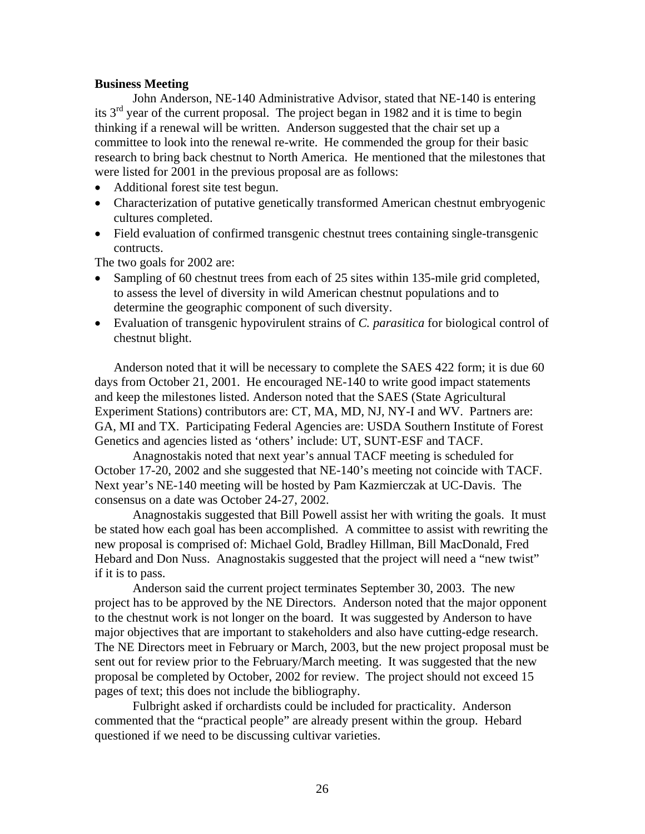#### **Business Meeting**

 John Anderson, NE-140 Administrative Advisor, stated that NE-140 is entering its  $3<sup>rd</sup>$  year of the current proposal. The project began in 1982 and it is time to begin thinking if a renewal will be written. Anderson suggested that the chair set up a committee to look into the renewal re-write. He commended the group for their basic research to bring back chestnut to North America. He mentioned that the milestones that were listed for 2001 in the previous proposal are as follows:

- Additional forest site test begun.
- Characterization of putative genetically transformed American chestnut embryogenic cultures completed.
- Field evaluation of confirmed transgenic chestnut trees containing single-transgenic contructs.

The two goals for 2002 are:

- Sampling of 60 chestnut trees from each of 25 sites within 135-mile grid completed, to assess the level of diversity in wild American chestnut populations and to determine the geographic component of such diversity.
- Evaluation of transgenic hypovirulent strains of *C. parasitica* for biological control of chestnut blight.

Anderson noted that it will be necessary to complete the SAES 422 form; it is due 60 days from October 21, 2001. He encouraged NE-140 to write good impact statements and keep the milestones listed. Anderson noted that the SAES (State Agricultural Experiment Stations) contributors are: CT, MA, MD, NJ, NY-I and WV. Partners are: GA, MI and TX. Participating Federal Agencies are: USDA Southern Institute of Forest Genetics and agencies listed as 'others' include: UT, SUNT-ESF and TACF.

 Anagnostakis noted that next year's annual TACF meeting is scheduled for October 17-20, 2002 and she suggested that NE-140's meeting not coincide with TACF. Next year's NE-140 meeting will be hosted by Pam Kazmierczak at UC-Davis. The consensus on a date was October 24-27, 2002.

 Anagnostakis suggested that Bill Powell assist her with writing the goals. It must be stated how each goal has been accomplished. A committee to assist with rewriting the new proposal is comprised of: Michael Gold, Bradley Hillman, Bill MacDonald, Fred Hebard and Don Nuss. Anagnostakis suggested that the project will need a "new twist" if it is to pass.

 Anderson said the current project terminates September 30, 2003. The new project has to be approved by the NE Directors. Anderson noted that the major opponent to the chestnut work is not longer on the board. It was suggested by Anderson to have major objectives that are important to stakeholders and also have cutting-edge research. The NE Directors meet in February or March, 2003, but the new project proposal must be sent out for review prior to the February/March meeting. It was suggested that the new proposal be completed by October, 2002 for review. The project should not exceed 15 pages of text; this does not include the bibliography.

 Fulbright asked if orchardists could be included for practicality. Anderson commented that the "practical people" are already present within the group. Hebard questioned if we need to be discussing cultivar varieties.